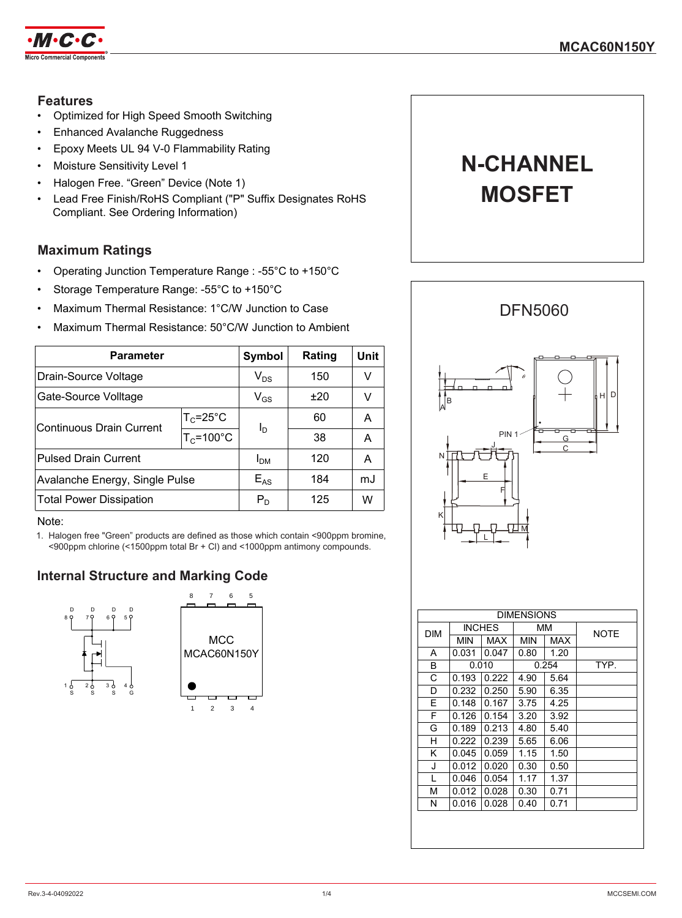

## **Features**

- Optimized for High Speed Smooth Switching
- Enhanced Avalanche Ruggedness
- Epoxy Meets UL 94 V-0 Flammability Rating
- Moisture Sensitivity Level 1
- Halogen Free. "Green" Device (Note 1)
- Lead Free Finish/RoHS Compliant ("P" Suffix Designates RoHS Compliant. See Ordering Information)

## **Maximum Ratings**

- Operating Junction Temperature Range : -55°C to +150°C
- Storage Temperature Range: -55°C to +150°C
- Maximum Thermal Resistance: 1°C/W Junction to Case
- Maximum Thermal Resistance: 50°C/W Junction to Ambient

| <b>Parameter</b>               |                       | <b>Symbol</b>   | Rating | Unit |
|--------------------------------|-----------------------|-----------------|--------|------|
| Drain-Source Voltage           |                       | $V_{DS}$        | 150    |      |
| Gate-Source Volltage           |                       | $V_{GS}$        | ±20    |      |
| Continuous Drain Current       | $T_c = 25^{\circ}C$   | l <sub>D</sub>  | 60     | А    |
|                                | $T_c = 100^{\circ}$ C |                 | 38     | А    |
| <b>Pulsed Drain Current</b>    |                       | I <sub>DM</sub> | 120    | А    |
| Avalanche Energy, Single Pulse |                       | $E_{AS}$        | 184    | mJ   |
| <b>Total Power Dissipation</b> |                       | $P_{D}$         | 125    | w    |

#### Note:

1. Halogen free "Green" products are defined as those which contain <900ppm bromine, <900ppm chlorine (<1500ppm total Br + Cl) and <1000ppm antimony compounds.

## **Internal Structure and Marking Code**





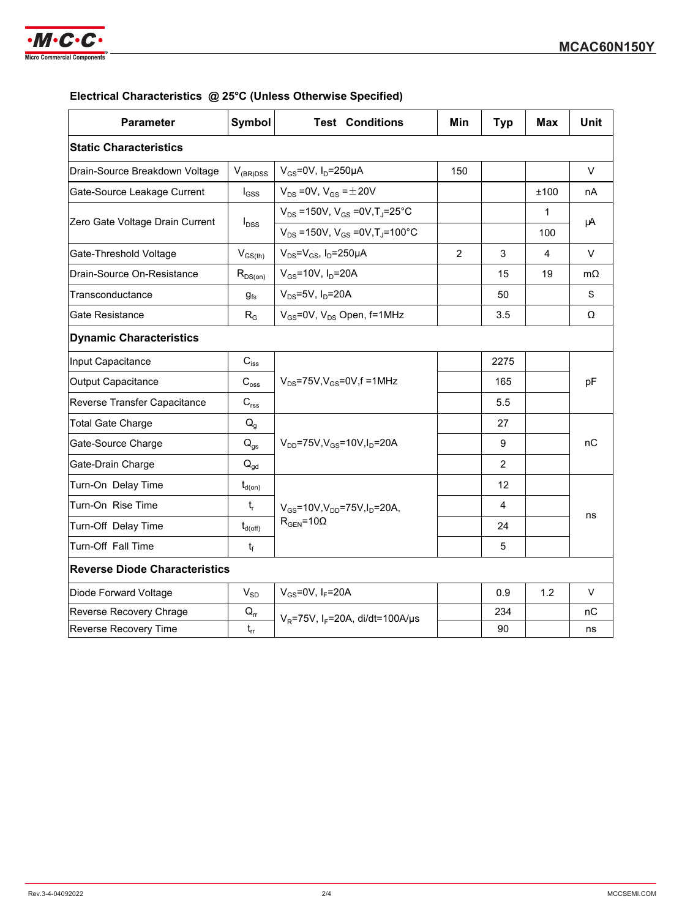

## **Electrical Characteristics @ 25°C (Unless Otherwise Specified)**

| <b>Parameter</b>                     | <b>Symbol</b>              | <b>Test Conditions</b>                                  | Min            | <b>Typ</b>     | Max  | <b>Unit</b> |
|--------------------------------------|----------------------------|---------------------------------------------------------|----------------|----------------|------|-------------|
| <b>Static Characteristics</b>        |                            |                                                         |                |                |      |             |
| Drain-Source Breakdown Voltage       | $V_{(BR)DSS}$              | $V_{GS}$ =0V, $I_D$ =250µA                              | 150            |                |      | V           |
| Gate-Source Leakage Current          | $I_{GSS}$                  | $V_{DS}$ = 0V, $V_{GS}$ = $\pm$ 20V                     |                |                | ±100 | nA          |
| Zero Gate Voltage Drain Current      | $I_{\text{DSS}}$           | $V_{DS}$ =150V, $V_{GS}$ =0V, T <sub>J</sub> =25°C      | 1<br>100       |                | μA   |             |
|                                      |                            | $V_{DS}$ =150V, $V_{GS}$ =0V, T <sub>J</sub> =100°C     |                |                |      |             |
| Gate-Threshold Voltage               | $V_{GS(th)}$               | $V_{DS} = V_{GS}$ , I <sub>D</sub> =250µA               | $\overline{2}$ | 3              | 4    | $\vee$      |
| Drain-Source On-Resistance           | $R_{DS(on)}$               | $V_{GS}$ =10V, $I_D$ =20A                               |                | 15             | 19   | $m\Omega$   |
| Transconductance                     | $g_{fs}$                   | $V_{DS}$ =5V, $I_D$ =20A                                |                | 50             |      | S           |
| Gate Resistance                      | $R_G$                      | $V_{GS}$ =0V, $V_{DS}$ Open, f=1MHz                     |                | 3.5            |      | Ω           |
| <b>Dynamic Characteristics</b>       |                            |                                                         |                |                |      |             |
| Input Capacitance                    | $C_{\mathsf{iss}}$         | $V_{DS}$ =75V, $V_{GS}$ =0V, f =1MHz                    |                | 2275           |      |             |
| Output Capacitance                   | $C_{\rm oss}$              |                                                         |                | 165            |      | pF          |
| Reverse Transfer Capacitance         | $C_{\text{rss}}$           |                                                         |                | 5.5            |      |             |
| <b>Total Gate Charge</b>             | $Q_{q}$                    |                                                         |                | 27             |      |             |
| Gate-Source Charge                   | $\mathsf{Q}_{\mathsf{gs}}$ | $V_{DD}$ =75V, $V_{GS}$ =10V, $I_{D}$ =20A              |                | 9              |      | nС          |
| Gate-Drain Charge                    | $\mathsf{Q}_{\mathsf{gd}}$ |                                                         |                | 2              |      |             |
| Turn-On Delay Time                   | $t_{d(on)}$                |                                                         |                | 12             |      |             |
| Turn-On Rise Time                    | $\mathsf{t}_{\mathsf{r}}$  | $V_{GS}$ =10V,V <sub>DD</sub> =75V,I <sub>D</sub> =20A, |                | $\overline{4}$ |      |             |
| Turn-Off Delay Time                  | $t_{d(\text{off})}$        | $R_{\text{GEN}} = 10\Omega$                             |                | 24             |      | ns          |
| Turn-Off Fall Time                   | $t_f$                      |                                                         |                | 5              |      |             |
| <b>Reverse Diode Characteristics</b> |                            |                                                         |                |                |      |             |
| Diode Forward Voltage                | $V_{SD}$                   | $V_{GS}$ =0V, I <sub>F</sub> =20A                       |                | 0.9            | 1.2  | V           |
| Reverse Recovery Chrage              | $Q_{rr}$                   | $V_R$ =75V, I <sub>F</sub> =20A, di/dt=100A/µs          |                | 234            |      | nС          |
| Reverse Recovery Time                | $t_{rr}$                   |                                                         |                | 90             |      | ns          |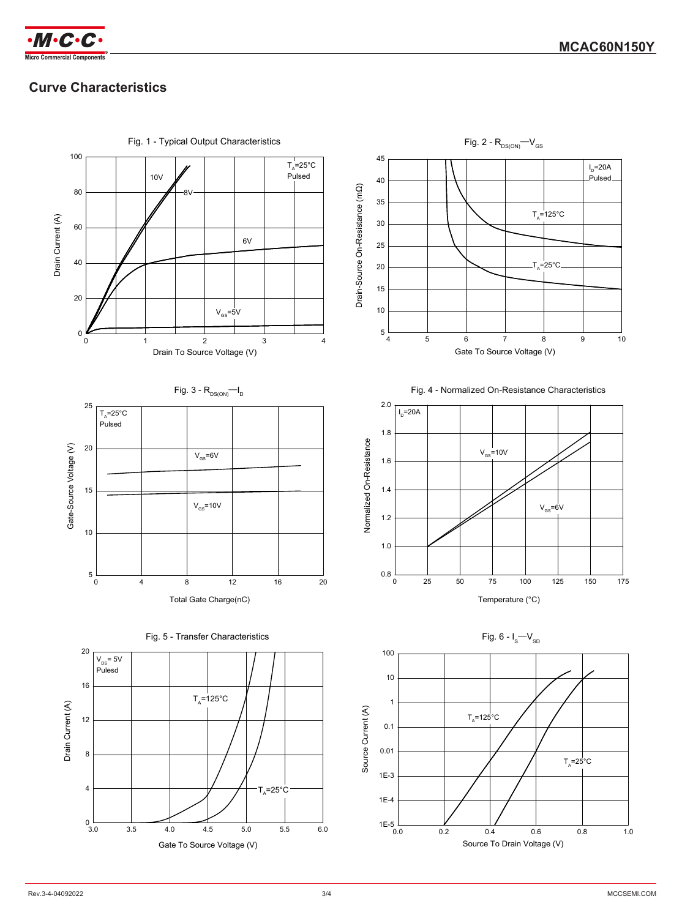

# **Curve Characteristics**